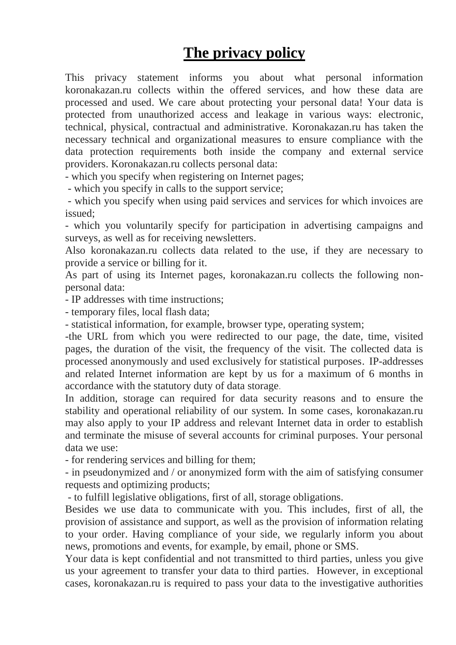## **The privacy policy**

This privacy statement informs you about what personal information koronakazan.ru collects within the offered services, and how these data are processed and used. We care about protecting your personal data! Your data is protected from unauthorized access and leakage in various ways: electronic, technical, physical, contractual and administrative. Koronakazan.ru has taken the necessary technical and organizational measures to ensure compliance with the data protection requirements both inside the company and external service providers. Koronakazan.ru collects personal data:

- which you specify when registering on Internet pages;

- which you specify in calls to the support service;

- which you specify when using paid services and services for which invoices are issued;

- which you voluntarily specify for participation in advertising campaigns and surveys, as well as for receiving newsletters.

Also koronakazan.ru collects data related to the use, if they are necessary to provide a service or billing for it.

As part of using its Internet pages, koronakazan.ru collects the following nonpersonal data:

- IP addresses with time instructions;

- temporary files, local flash data;

- statistical information, for example, browser type, operating system;

-the URL from which you were redirected to our page, the date, time, visited pages, the duration of the visit, the frequency of the visit. The collected data is processed anonymously and used exclusively for statistical purposes. IP-addresses and related Internet information are kept by us for a maximum of 6 months in accordance with the statutory duty of data storage.

In addition, storage can required for data security reasons and to ensure the stability and operational reliability of our system. In some cases, koronakazan.ru may also apply to your IP address and relevant Internet data in order to establish and terminate the misuse of several accounts for criminal purposes. Your personal data we use:

- for rendering services and billing for them;

- in pseudonymized and / or anonymized form with the aim of satisfying consumer requests and optimizing products;

- to fulfill legislative obligations, first of all, storage obligations.

Besides we use data to communicate with you. This includes, first of all, the provision of assistance and support, as well as the provision of information relating to your order. Having compliance of your side, we regularly inform you about news, promotions and events, for example, by email, phone or SMS.

Your data is kept confidential and not transmitted to third parties, unless you give us your agreement to transfer your data to third parties. However, in exceptional cases, koronakazan.ru is required to pass your data to the investigative authorities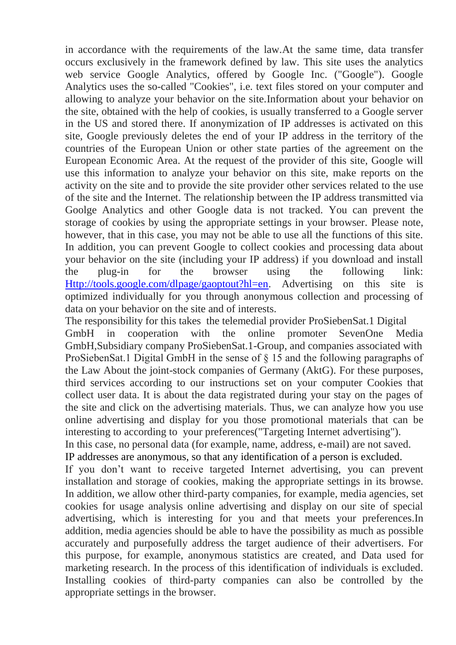in accordance with the requirements of the law.At the same time, data transfer occurs exclusively in the framework defined by law. This site uses the analytics web service Google Analytics, offered by Google Inc. ("Google"). Google Analytics uses the so-called "Cookies", i.e. text files stored on your computer and allowing to analyze your behavior on the site.Information about your behavior on the site, obtained with the help of cookies, is usually transferred to a Google server in the US and stored there. If anonymization of IP addresses is activated on this site, Google previously deletes the end of your IP address in the territory of the countries of the European Union or other state parties of the agreement on the European Economic Area. At the request of the provider of this site, Google will use this information to analyze your behavior on this site, make reports on the activity on the site and to provide the site provider other services related to the use of the site and the Internet. The relationship between the IP address transmitted via Goolge Analytics and other Google data is not tracked. You can prevent the storage of cookies by using the appropriate settings in your browser. Please note, however, that in this case, you may not be able to use all the functions of this site. In addition, you can prevent Google to collect cookies and processing data about your behavior on the site (including your IP address) if you download and install the plug-in for the browser using the following link: [Http://tools.google.com/dlpage/gaoptout?hl=en.](http://tools.google.com/dlpage/gaoptout?hl=en) Advertising on this site is optimized individually for you through anonymous collection and processing of data on your behavior on the site and of interests.

The responsibility for this takes the telemedial provider ProSiebenSat.1 Digital GmbH in cooperation with the online promoter SevenOne Media GmbH,Subsidiary company ProSiebenSat.1-Group, and companies associated with ProSiebenSat.1 Digital GmbH in the sense of § 15 and the following paragraphs of the Law About the joint-stock companies of Germany (AktG). For these purposes, third services according to our instructions set on your computer Cookies that collect user data. It is about the data registrated during your stay on the pages of the site and click on the advertising materials. Thus, we can analyze how you use online advertising and display for you those promotional materials that can be interesting to according to your preferences("Targeting Internet advertising").

In this case, no personal data (for example, name, address, e-mail) are not saved. IP addresses are anonymous, so that any identification of a person is excluded.

If you don't want to receive targeted Internet advertising, you can prevent installation and storage of cookies, making the appropriate settings in its browse. In addition, we allow other third-party companies, for example, media agencies, set cookies for usage analysis online advertising and display on our site of special advertising, which is interesting for you and that meets your preferences.In addition, media agencies should be able to have the possibility as much as possible accurately and purposefully address the target audience of their advertisers. For this purpose, for example, anonymous statistics are created, and Data used for marketing research. In the process of this identification of individuals is excluded. Installing cookies of third-party companies can also be controlled by the appropriate settings in the browser.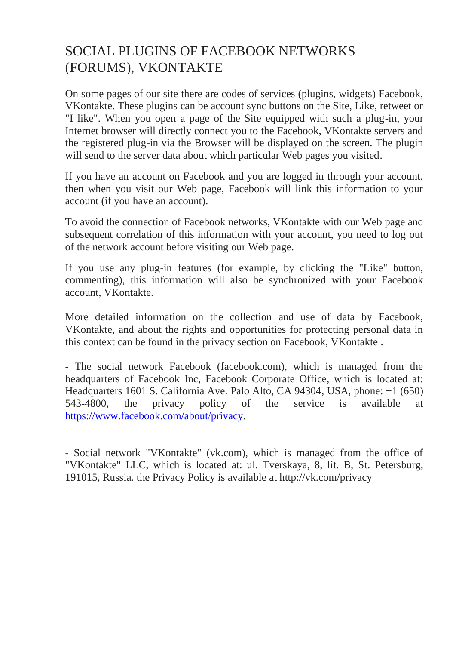## SOCIAL PLUGINS OF FACEBOOK NETWORKS (FORUMS), VKONTAKTE

On some pages of our site there are codes of services (plugins, widgets) Facebook, VKontakte. These plugins can be account sync buttons on the Site, Like, retweet or "I like". When you open a page of the Site equipped with such a plug-in, your Internet browser will directly connect you to the Facebook, VKontakte servers and the registered plug-in via the Browser will be displayed on the screen. The plugin will send to the server data about which particular Web pages you visited.

If you have an account on Facebook and you are logged in through your account, then when you visit our Web page, Facebook will link this information to your account (if you have an account).

To avoid the connection of Facebook networks, VKontakte with our Web page and subsequent correlation of this information with your account, you need to log out of the network account before visiting our Web page.

If you use any plug-in features (for example, by clicking the "Like" button, commenting), this information will also be synchronized with your Facebook account, VKontakte.

More detailed information on the collection and use of data by Facebook, VKontakte, and about the rights and opportunities for protecting personal data in this context can be found in the privacy section on Facebook, VKontakte .

- The social network Facebook (facebook.com), which is managed from the headquarters of Facebook Inc, Facebook Corporate Office, which is located at: Headquarters 1601 S. California Ave. Palo Alto, CA 94304, USA, phone: +1 (650) 543-4800, the privacy policy of the service is available at [https://www.facebook.com/about/privacy.](https://www.facebook.com/about/privacy)

- Social network "VKontakte" (vk.com), which is managed from the office of "VKontakte" LLC, which is located at: ul. Tverskaya, 8, lit. B, St. Petersburg, 191015, Russia. the Privacy Policy is available at http://vk.com/privacy